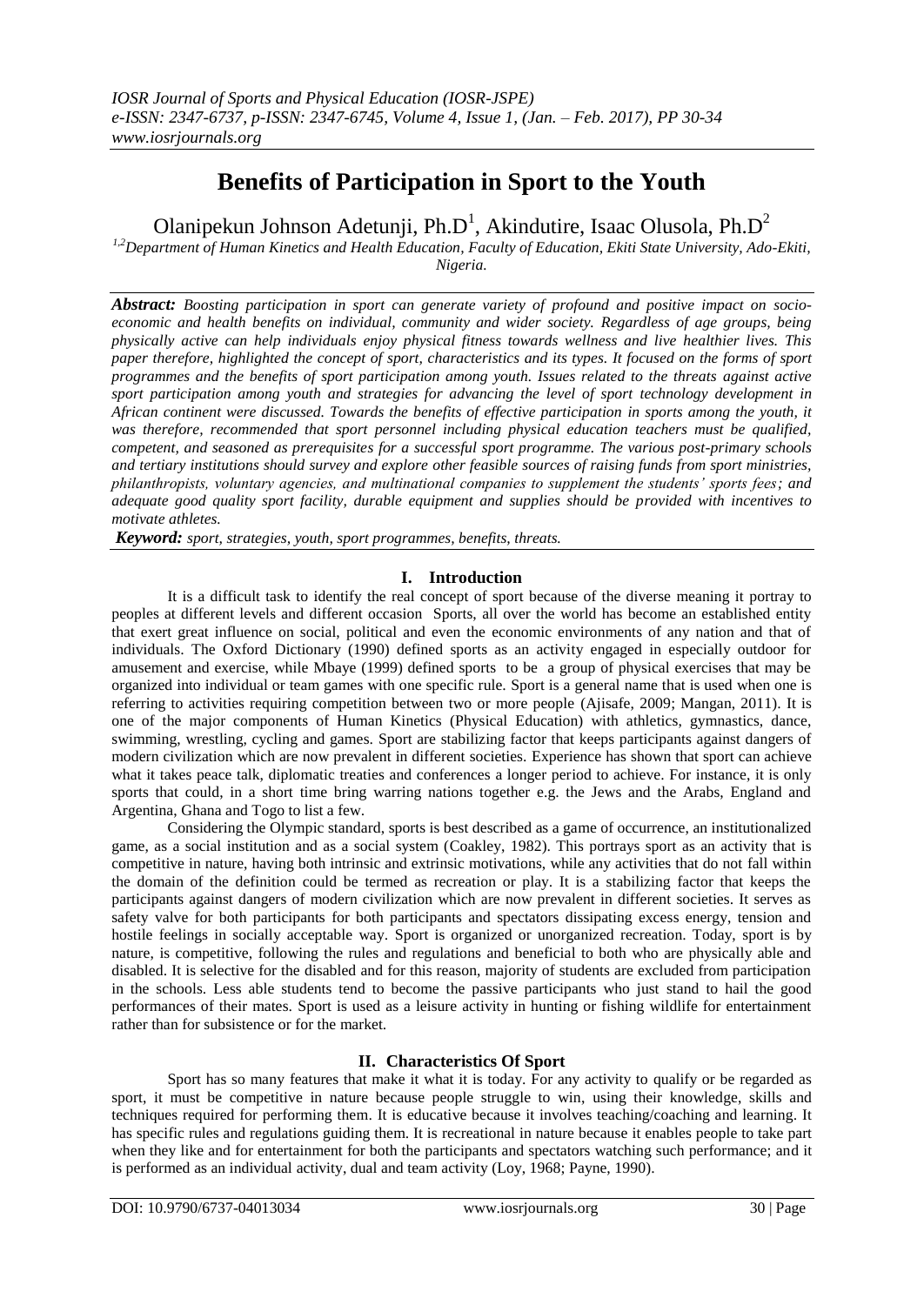# **Benefits of Participation in Sport to the Youth**

Olanipekun Johnson Adetunji, Ph.D<sup>1</sup>, Akindutire, Isaac Olusola, Ph.D<sup>2</sup>

*1,2Department of Human Kinetics and Health Education, Faculty of Education, Ekiti State University, Ado-Ekiti, Nigeria.*

*Abstract: Boosting participation in sport can generate variety of profound and positive impact on socioeconomic and health benefits on individual, community and wider society. Regardless of age groups, being physically active can help individuals enjoy physical fitness towards wellness and live healthier lives. This paper therefore, highlighted the concept of sport, characteristics and its types. It focused on the forms of sport programmes and the benefits of sport participation among youth. Issues related to the threats against active sport participation among youth and strategies for advancing the level of sport technology development in African continent were discussed. Towards the benefits of effective participation in sports among the youth, it was therefore, recommended that sport personnel including physical education teachers must be qualified, competent, and seasoned as prerequisites for a successful sport programme. The various post-primary schools and tertiary institutions should survey and explore other feasible sources of raising funds from sport ministries, philanthropists, voluntary agencies, and multinational companies to supplement the students' sports fees; and adequate good quality sport facility, durable equipment and supplies should be provided with incentives to motivate athletes.*

*Keyword: sport, strategies, youth, sport programmes, benefits, threats.*

## **I. Introduction**

It is a difficult task to identify the real concept of sport because of the diverse meaning it portray to peoples at different levels and different occasion Sports, all over the world has become an established entity that exert great influence on social, political and even the economic environments of any nation and that of individuals. The Oxford Dictionary (1990) defined sports as an activity engaged in especially outdoor for amusement and exercise, while Mbaye (1999) defined sports to be a group of physical exercises that may be organized into individual or team games with one specific rule. Sport is a general name that is used when one is referring to activities requiring competition between two or more people (Ajisafe, 2009; Mangan, 2011). It is one of the major components of Human Kinetics (Physical Education) with athletics, gymnastics, dance, swimming, wrestling, cycling and games. Sport are stabilizing factor that keeps participants against dangers of modern civilization which are now prevalent in different societies. Experience has shown that sport can achieve what it takes peace talk, diplomatic treaties and conferences a longer period to achieve. For instance, it is only sports that could, in a short time bring warring nations together e.g. the Jews and the Arabs, England and Argentina, Ghana and Togo to list a few.

Considering the Olympic standard, sports is best described as a game of occurrence, an institutionalized game, as a social institution and as a social system (Coakley, 1982). This portrays sport as an activity that is competitive in nature, having both intrinsic and extrinsic motivations, while any activities that do not fall within the domain of the definition could be termed as recreation or play. It is a stabilizing factor that keeps the participants against dangers of modern civilization which are now prevalent in different societies. It serves as safety valve for both participants for both participants and spectators dissipating excess energy, tension and hostile feelings in socially acceptable way. Sport is organized or unorganized recreation. Today, sport is by nature, is competitive, following the rules and regulations and beneficial to both who are physically able and disabled. It is selective for the disabled and for this reason, majority of students are excluded from participation in the schools. Less able students tend to become the passive participants who just stand to hail the good performances of their mates. Sport is used as a leisure activity in hunting or fishing wildlife for entertainment rather than for subsistence or for the market.

## **II. Characteristics Of Sport**

Sport has so many features that make it what it is today. For any activity to qualify or be regarded as sport, it must be competitive in nature because people struggle to win, using their knowledge, skills and techniques required for performing them. It is educative because it involves teaching/coaching and learning. It has specific rules and regulations guiding them. It is recreational in nature because it enables people to take part when they like and for entertainment for both the participants and spectators watching such performance; and it is performed as an individual activity, dual and team activity (Loy, 1968; Payne, 1990).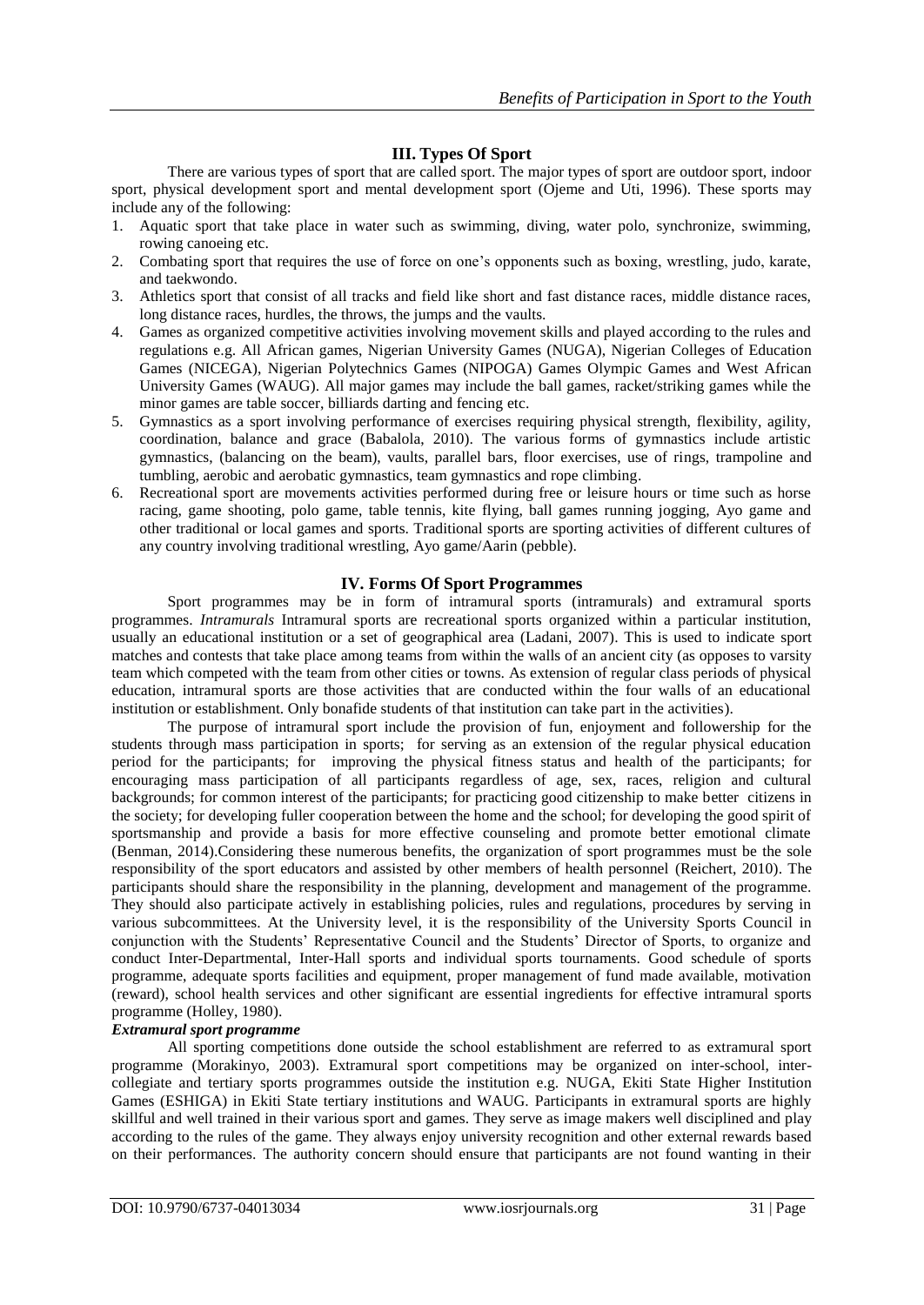#### **III. Types Of Sport**

There are various types of sport that are called sport. The major types of sport are outdoor sport, indoor sport, physical development sport and mental development sport (Ojeme and Uti, 1996). These sports may include any of the following:

- 1. Aquatic sport that take place in water such as swimming, diving, water polo, synchronize, swimming, rowing canoeing etc.
- 2. Combating sport that requires the use of force on one's opponents such as boxing, wrestling, judo, karate, and taekwondo.
- 3. Athletics sport that consist of all tracks and field like short and fast distance races, middle distance races, long distance races, hurdles, the throws, the jumps and the vaults.
- 4. Games as organized competitive activities involving movement skills and played according to the rules and regulations e.g. All African games, Nigerian University Games (NUGA), Nigerian Colleges of Education Games (NICEGA), Nigerian Polytechnics Games (NIPOGA) Games Olympic Games and West African University Games (WAUG). All major games may include the ball games, racket/striking games while the minor games are table soccer, billiards darting and fencing etc.
- 5. Gymnastics as a sport involving performance of exercises requiring physical strength, flexibility, agility, coordination, balance and grace (Babalola, 2010). The various forms of gymnastics include artistic gymnastics, (balancing on the beam), vaults, parallel bars, floor exercises, use of rings, trampoline and tumbling, aerobic and aerobatic gymnastics, team gymnastics and rope climbing.
- 6. Recreational sport are movements activities performed during free or leisure hours or time such as horse racing, game shooting, polo game, table tennis, kite flying, ball games running jogging, Ayo game and other traditional or local games and sports. Traditional sports are sporting activities of different cultures of any country involving traditional wrestling, Ayo game/Aarin (pebble).

#### **IV. Forms Of Sport Programmes**

Sport programmes may be in form of intramural sports (intramurals) and extramural sports programmes. *Intramurals* Intramural sports are recreational sports organized within a particular institution, usually an educational institution or a set of geographical area (Ladani, 2007). This is used to indicate sport matches and contests that take place among teams from within the walls of an ancient city (as opposes to varsity team which competed with the team from other cities or towns. As extension of regular class periods of physical education, intramural sports are those activities that are conducted within the four walls of an educational institution or establishment. Only bonafide students of that institution can take part in the activities).

The purpose of intramural sport include the provision of fun, enjoyment and followership for the students through mass participation in sports; for serving as an extension of the regular physical education period for the participants; for improving the physical fitness status and health of the participants; for encouraging mass participation of all participants regardless of age, sex, races, religion and cultural backgrounds; for common interest of the participants; for practicing good citizenship to make better citizens in the society; for developing fuller cooperation between the home and the school; for developing the good spirit of sportsmanship and provide a basis for more effective counseling and promote better emotional climate (Benman, 2014).Considering these numerous benefits, the organization of sport programmes must be the sole responsibility of the sport educators and assisted by other members of health personnel (Reichert, 2010). The participants should share the responsibility in the planning, development and management of the programme. They should also participate actively in establishing policies, rules and regulations, procedures by serving in various subcommittees. At the University level, it is the responsibility of the University Sports Council in conjunction with the Students' Representative Council and the Students' Director of Sports, to organize and conduct Inter-Departmental, Inter-Hall sports and individual sports tournaments. Good schedule of sports programme, adequate sports facilities and equipment, proper management of fund made available, motivation (reward), school health services and other significant are essential ingredients for effective intramural sports programme (Holley, 1980).

#### *Extramural sport programme*

All sporting competitions done outside the school establishment are referred to as extramural sport programme (Morakinyo, 2003). Extramural sport competitions may be organized on inter-school, intercollegiate and tertiary sports programmes outside the institution e.g. NUGA, Ekiti State Higher Institution Games (ESHIGA) in Ekiti State tertiary institutions and WAUG. Participants in extramural sports are highly skillful and well trained in their various sport and games. They serve as image makers well disciplined and play according to the rules of the game. They always enjoy university recognition and other external rewards based on their performances. The authority concern should ensure that participants are not found wanting in their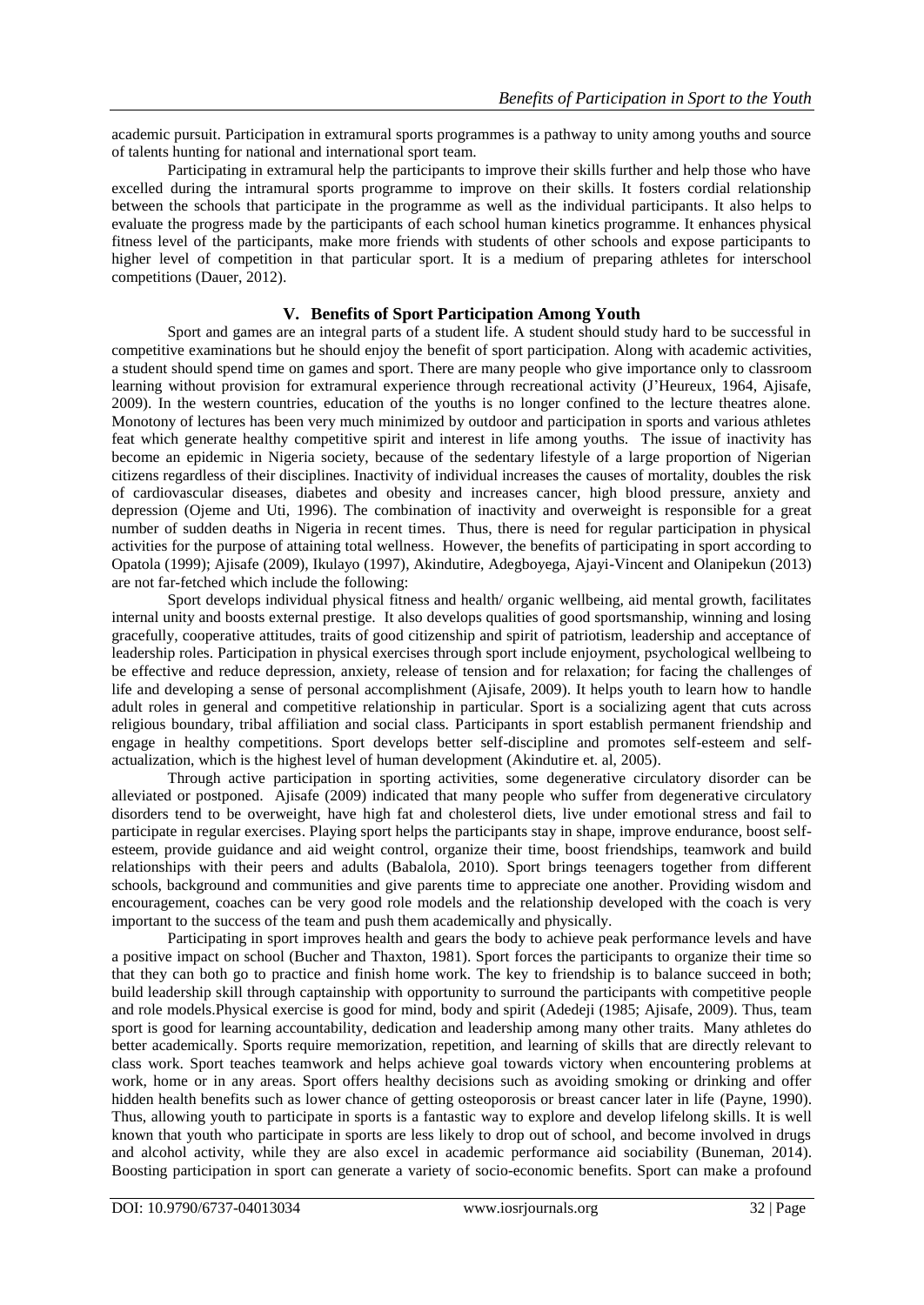academic pursuit. Participation in extramural sports programmes is a pathway to unity among youths and source of talents hunting for national and international sport team.

Participating in extramural help the participants to improve their skills further and help those who have excelled during the intramural sports programme to improve on their skills. It fosters cordial relationship between the schools that participate in the programme as well as the individual participants. It also helps to evaluate the progress made by the participants of each school human kinetics programme. It enhances physical fitness level of the participants, make more friends with students of other schools and expose participants to higher level of competition in that particular sport. It is a medium of preparing athletes for interschool competitions (Dauer, 2012).

#### **V. Benefits of Sport Participation Among Youth**

Sport and games are an integral parts of a student life. A student should study hard to be successful in competitive examinations but he should enjoy the benefit of sport participation. Along with academic activities, a student should spend time on games and sport. There are many people who give importance only to classroom learning without provision for extramural experience through recreational activity (J'Heureux, 1964, Ajisafe, 2009). In the western countries, education of the youths is no longer confined to the lecture theatres alone. Monotony of lectures has been very much minimized by outdoor and participation in sports and various athletes feat which generate healthy competitive spirit and interest in life among youths. The issue of inactivity has become an epidemic in Nigeria society, because of the sedentary lifestyle of a large proportion of Nigerian citizens regardless of their disciplines. Inactivity of individual increases the causes of mortality, doubles the risk of cardiovascular diseases, diabetes and obesity and increases cancer, high blood pressure, anxiety and depression (Ojeme and Uti, 1996). The combination of inactivity and overweight is responsible for a great number of sudden deaths in Nigeria in recent times. Thus, there is need for regular participation in physical activities for the purpose of attaining total wellness. However, the benefits of participating in sport according to Opatola (1999); Ajisafe (2009), Ikulayo (1997), Akindutire, Adegboyega, Ajayi-Vincent and Olanipekun (2013) are not far-fetched which include the following:

Sport develops individual physical fitness and health/ organic wellbeing, aid mental growth, facilitates internal unity and boosts external prestige. It also develops qualities of good sportsmanship, winning and losing gracefully, cooperative attitudes, traits of good citizenship and spirit of patriotism, leadership and acceptance of leadership roles. Participation in physical exercises through sport include enjoyment, psychological wellbeing to be effective and reduce depression, anxiety, release of tension and for relaxation; for facing the challenges of life and developing a sense of personal accomplishment (Ajisafe, 2009). It helps youth to learn how to handle adult roles in general and competitive relationship in particular. Sport is a socializing agent that cuts across religious boundary, tribal affiliation and social class. Participants in sport establish permanent friendship and engage in healthy competitions. Sport develops better self-discipline and promotes self-esteem and selfactualization, which is the highest level of human development (Akindutire et. al, 2005).

Through active participation in sporting activities, some degenerative circulatory disorder can be alleviated or postponed. Ajisafe (2009) indicated that many people who suffer from degenerative circulatory disorders tend to be overweight, have high fat and cholesterol diets, live under emotional stress and fail to participate in regular exercises. Playing sport helps the participants stay in shape, improve endurance, boost selfesteem, provide guidance and aid weight control, organize their time, boost friendships, teamwork and build relationships with their peers and adults (Babalola, 2010). Sport brings teenagers together from different schools, background and communities and give parents time to appreciate one another. Providing wisdom and encouragement, coaches can be very good role models and the relationship developed with the coach is very important to the success of the team and push them academically and physically.

Participating in sport improves health and gears the body to achieve peak performance levels and have a positive impact on school (Bucher and Thaxton, 1981). Sport forces the participants to organize their time so that they can both go to practice and finish home work. The key to friendship is to balance succeed in both; build leadership skill through captainship with opportunity to surround the participants with competitive people and role models.Physical exercise is good for mind, body and spirit (Adedeji (1985; Ajisafe, 2009). Thus, team sport is good for learning accountability, dedication and leadership among many other traits. Many athletes do better academically. Sports require memorization, repetition, and learning of skills that are directly relevant to class work. Sport teaches teamwork and helps achieve goal towards victory when encountering problems at work, home or in any areas. Sport offers healthy decisions such as avoiding smoking or drinking and offer hidden health benefits such as lower chance of getting osteoporosis or breast cancer later in life (Payne, 1990). Thus, allowing youth to participate in sports is a fantastic way to explore and develop lifelong skills. It is well known that youth who participate in sports are less likely to drop out of school, and become involved in drugs and alcohol activity, while they are also excel in academic performance aid sociability (Buneman, 2014). Boosting participation in sport can generate a variety of socio-economic benefits. Sport can make a profound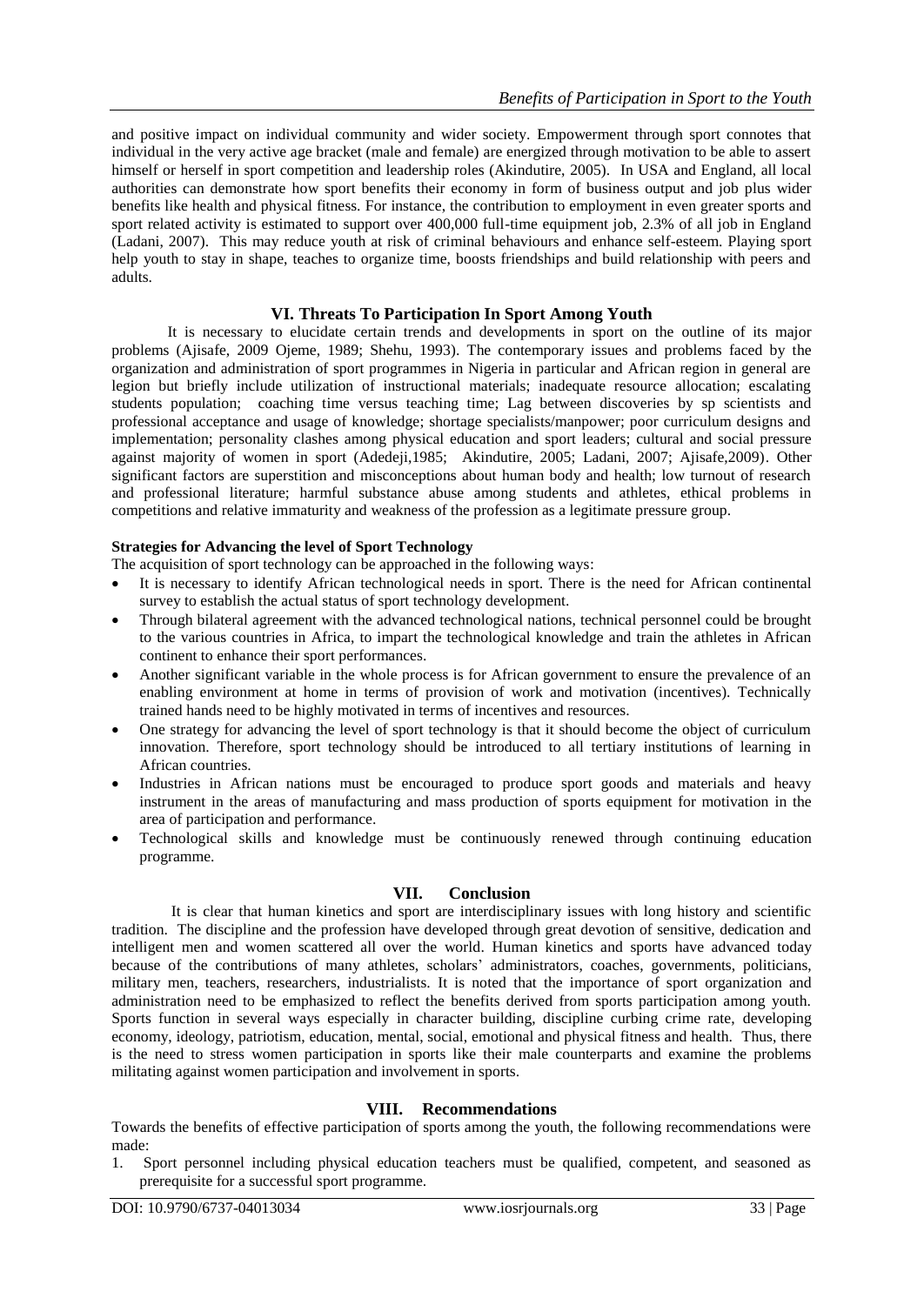and positive impact on individual community and wider society. Empowerment through sport connotes that individual in the very active age bracket (male and female) are energized through motivation to be able to assert himself or herself in sport competition and leadership roles (Akindutire, 2005). In USA and England, all local authorities can demonstrate how sport benefits their economy in form of business output and job plus wider benefits like health and physical fitness. For instance, the contribution to employment in even greater sports and sport related activity is estimated to support over 400,000 full-time equipment job, 2.3% of all job in England (Ladani, 2007). This may reduce youth at risk of criminal behaviours and enhance self-esteem. Playing sport help youth to stay in shape, teaches to organize time, boosts friendships and build relationship with peers and adults.

## **VI. Threats To Participation In Sport Among Youth**

It is necessary to elucidate certain trends and developments in sport on the outline of its major problems (Ajisafe, 2009 Ojeme, 1989; Shehu, 1993). The contemporary issues and problems faced by the organization and administration of sport programmes in Nigeria in particular and African region in general are legion but briefly include utilization of instructional materials; inadequate resource allocation; escalating students population; coaching time versus teaching time; Lag between discoveries by sp scientists and professional acceptance and usage of knowledge; shortage specialists/manpower; poor curriculum designs and implementation; personality clashes among physical education and sport leaders; cultural and social pressure against majority of women in sport (Adedeji,1985; Akindutire, 2005; Ladani, 2007; Ajisafe,2009). Other significant factors are superstition and misconceptions about human body and health; low turnout of research and professional literature; harmful substance abuse among students and athletes, ethical problems in competitions and relative immaturity and weakness of the profession as a legitimate pressure group.

#### **Strategies for Advancing the level of Sport Technology**

- The acquisition of sport technology can be approached in the following ways:
- It is necessary to identify African technological needs in sport. There is the need for African continental survey to establish the actual status of sport technology development.
- Through bilateral agreement with the advanced technological nations, technical personnel could be brought to the various countries in Africa, to impart the technological knowledge and train the athletes in African continent to enhance their sport performances.
- Another significant variable in the whole process is for African government to ensure the prevalence of an enabling environment at home in terms of provision of work and motivation (incentives). Technically trained hands need to be highly motivated in terms of incentives and resources.
- One strategy for advancing the level of sport technology is that it should become the object of curriculum innovation. Therefore, sport technology should be introduced to all tertiary institutions of learning in African countries.
- Industries in African nations must be encouraged to produce sport goods and materials and heavy instrument in the areas of manufacturing and mass production of sports equipment for motivation in the area of participation and performance.
- Technological skills and knowledge must be continuously renewed through continuing education programme.

#### **VII. Conclusion**

It is clear that human kinetics and sport are interdisciplinary issues with long history and scientific tradition. The discipline and the profession have developed through great devotion of sensitive, dedication and intelligent men and women scattered all over the world. Human kinetics and sports have advanced today because of the contributions of many athletes, scholars' administrators, coaches, governments, politicians, military men, teachers, researchers, industrialists. It is noted that the importance of sport organization and administration need to be emphasized to reflect the benefits derived from sports participation among youth. Sports function in several ways especially in character building, discipline curbing crime rate, developing economy, ideology, patriotism, education, mental, social, emotional and physical fitness and health. Thus, there is the need to stress women participation in sports like their male counterparts and examine the problems militating against women participation and involvement in sports.

#### **VIII. Recommendations**

Towards the benefits of effective participation of sports among the youth, the following recommendations were made:

1. Sport personnel including physical education teachers must be qualified, competent, and seasoned as prerequisite for a successful sport programme.